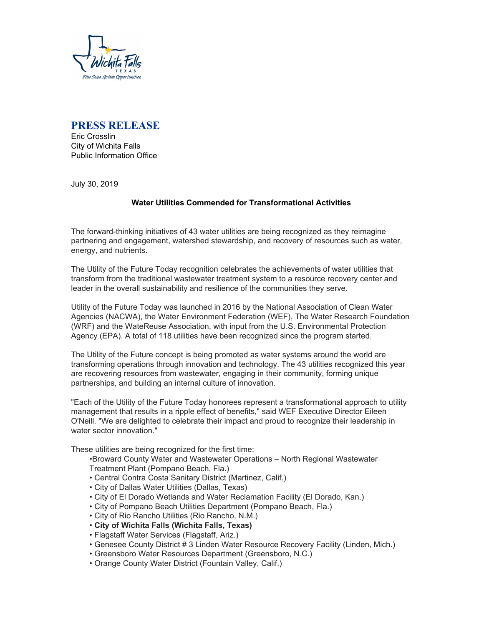

# **PRESS RELEASE**

Eric Crosslin City of Wichita Falls Public Information Office

July 30, 2019

## **Water Utilities Commended for Transformational Activities**

The forward-thinking initiatives of 43 water utilities are being recognized as they reimagine partnering and engagement, watershed stewardship, and recovery of resources such as water, energy, and nutrients.

The Utility of the Future Today recognition celebrates the achievements of water utilities that transform from the traditional wastewater treatment system to a resource recovery center and leader in the overall sustainability and resilience of the communities they serve.

Utility of the Future Today was launched in 2016 by the National Association of Clean Water Agencies (NACWA), the Water Environment Federation (WEF), The Water Research Foundation (WRF) and the WateReuse Association, with input from the U.S. Environmental Protection Agency (EPA). A total of 118 utilities have been recognized since the program started.

The Utility of the Future concept is being promoted as water systems around the world are transforming operations through innovation and technology. The 43 utilities recognized this year are recovering resources from wastewater, engaging in their community, forming unique partnerships, and building an internal culture of innovation.

"Each of the Utility of the Future Today honorees represent a transformational approach to utility management that results in a ripple effect of benefits," said WEF Executive Director Eileen O'Neill. "We are delighted to celebrate their impact and proud to recognize their leadership in water sector innovation."

These utilities are being recognized for the first time:

•Broward County Water and Wastewater Operations – North Regional Wastewater Treatment Plant (Pompano Beach, Fla.)

- Central Contra Costa Sanitary District (Martinez, Calif.)
- City of Dallas Water Utilities (Dallas, Texas)
- City of El Dorado Wetlands and Water Reclamation Facility (El Dorado, Kan.)
- City of Pompano Beach Utilities Department (Pompano Beach, Fla.)
- City of Rio Rancho Utilities (Rio Rancho, N.M.)
- **City of Wichita Falls (Wichita Falls, Texas)**
- Flagstaff Water Services (Flagstaff, Ariz.)
- Genesee County District # 3 Linden Water Resource Recovery Facility (Linden, Mich.)
- Greensboro Water Resources Department (Greensboro, N.C.)
- Orange County Water District (Fountain Valley, Calif.)